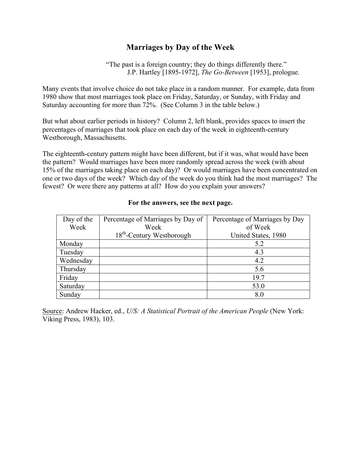## **Marriages by Day of the Week**

"The past is a foreign country; they do things differently there." J.P. Hartley [1895-1972], *The Go-Between* [1953], prologue.

Many events that involve choice do not take place in a random manner. For example, data from 1980 show that most marriages took place on Friday, Saturday, or Sunday, with Friday and Saturday accounting for more than 72%. (See Column 3 in the table below.)

But what about earlier periods in history? Column 2, left blank, provides spaces to insert the percentages of marriages that took place on each day of the week in eighteenth-century Westborough, Massachusetts.

The eighteenth-century pattern might have been different, but if it was, what would have been the pattern? Would marriages have been more randomly spread across the week (with about 15% of the marriages taking place on each day)? Or would marriages have been concentrated on one or two days of the week? Which day of the week do you think had the most marriages? The fewest? Or were there any patterns at all? How do you explain your answers?

| Day of the | Percentage of Marriages by Day of     | Percentage of Marriages by Day |
|------------|---------------------------------------|--------------------------------|
| Week       | Week                                  | of Week                        |
|            | 18 <sup>th</sup> -Century Westborough | United States, 1980            |
| Monday     |                                       | 5.2                            |
| Tuesday    |                                       | 4.3                            |
| Wednesday  |                                       | 4.2                            |
| Thursday   |                                       | 5.6                            |
| Friday     |                                       | 19.7                           |
| Saturday   |                                       | 53.0                           |
| Sunday     |                                       | 8.0                            |

## **For the answers, see the next page.**

Source: Andrew Hacker, ed., *U/S: A Statistical Portrait of the American People* (New York: Viking Press, 1983), 103.